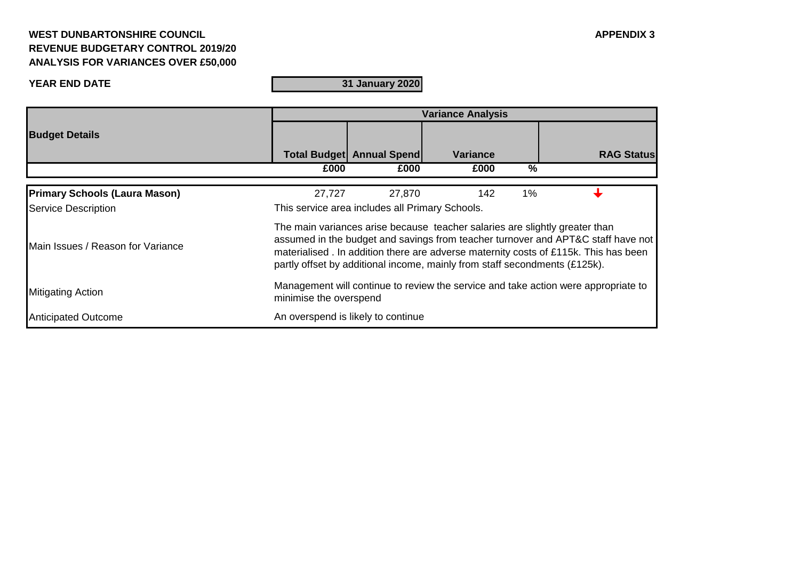## **WEST DUNBARTONSHIRE COUNCIL APPENDIX 3 REVENUE BUDGETARY CONTROL 2019/20 ANALYSIS FOR VARIANCES OVER £50,000**

**31 January 2020**

|                                      | <b>Variance Analysis</b>                                                                                                                                                                                                                                                                                                              |                                    |                 |       |                   |  |
|--------------------------------------|---------------------------------------------------------------------------------------------------------------------------------------------------------------------------------------------------------------------------------------------------------------------------------------------------------------------------------------|------------------------------------|-----------------|-------|-------------------|--|
| <b>Budget Details</b>                |                                                                                                                                                                                                                                                                                                                                       | <b>Total Budget   Annual Spend</b> | <b>Variance</b> |       | <b>RAG Status</b> |  |
|                                      | £000                                                                                                                                                                                                                                                                                                                                  | £000                               | £000            | $\%$  |                   |  |
|                                      |                                                                                                                                                                                                                                                                                                                                       |                                    |                 |       |                   |  |
| <b>Primary Schools (Laura Mason)</b> | 27,727                                                                                                                                                                                                                                                                                                                                | 27,870                             | 142             | $1\%$ |                   |  |
| Service Description                  | This service area includes all Primary Schools.                                                                                                                                                                                                                                                                                       |                                    |                 |       |                   |  |
| Main Issues / Reason for Variance    | The main variances arise because teacher salaries are slightly greater than<br>assumed in the budget and savings from teacher turnover and APT&C staff have not<br>materialised . In addition there are adverse maternity costs of £115k. This has been<br>partly offset by additional income, mainly from staff secondments (£125k). |                                    |                 |       |                   |  |
| <b>Mitigating Action</b>             | Management will continue to review the service and take action were appropriate to<br>minimise the overspend                                                                                                                                                                                                                          |                                    |                 |       |                   |  |
| <b>Anticipated Outcome</b>           | An overspend is likely to continue                                                                                                                                                                                                                                                                                                    |                                    |                 |       |                   |  |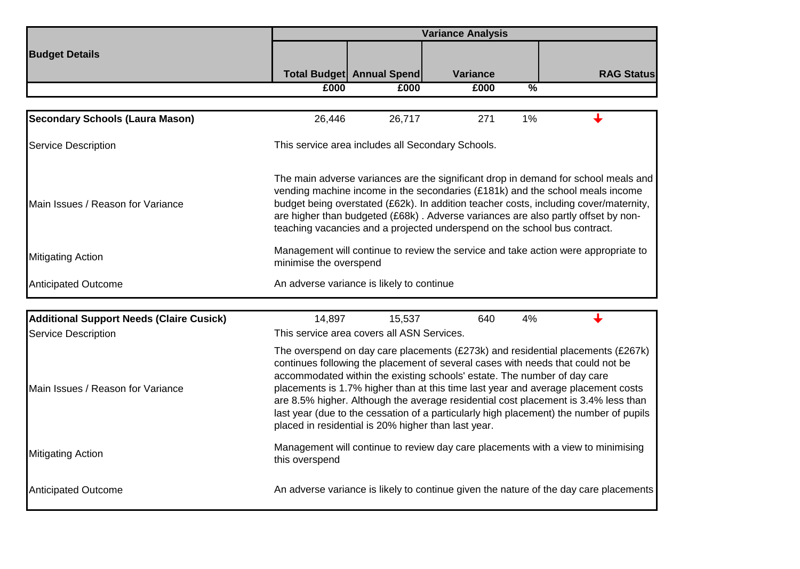|                                                                               | <b>Variance Analysis</b>                                                                                                                                                                                                                                                                                                                                                                                                                                                                                                                                                   |                           |                 |               |                                                                                       |  |
|-------------------------------------------------------------------------------|----------------------------------------------------------------------------------------------------------------------------------------------------------------------------------------------------------------------------------------------------------------------------------------------------------------------------------------------------------------------------------------------------------------------------------------------------------------------------------------------------------------------------------------------------------------------------|---------------------------|-----------------|---------------|---------------------------------------------------------------------------------------|--|
| <b>Budget Details</b>                                                         |                                                                                                                                                                                                                                                                                                                                                                                                                                                                                                                                                                            |                           |                 |               |                                                                                       |  |
|                                                                               |                                                                                                                                                                                                                                                                                                                                                                                                                                                                                                                                                                            | Total Budget Annual Spend | <b>Variance</b> |               | <b>RAG Status</b>                                                                     |  |
|                                                                               | £000                                                                                                                                                                                                                                                                                                                                                                                                                                                                                                                                                                       | £000                      | £000            | $\frac{0}{2}$ |                                                                                       |  |
|                                                                               |                                                                                                                                                                                                                                                                                                                                                                                                                                                                                                                                                                            |                           |                 |               |                                                                                       |  |
| <b>Secondary Schools (Laura Mason)</b>                                        | 26,446                                                                                                                                                                                                                                                                                                                                                                                                                                                                                                                                                                     | 26,717                    | 271             | 1%            |                                                                                       |  |
| <b>Service Description</b>                                                    | This service area includes all Secondary Schools.                                                                                                                                                                                                                                                                                                                                                                                                                                                                                                                          |                           |                 |               |                                                                                       |  |
| Main Issues / Reason for Variance                                             | The main adverse variances are the significant drop in demand for school meals and<br>vending machine income in the secondaries (£181k) and the school meals income<br>budget being overstated (£62k). In addition teacher costs, including cover/maternity,<br>are higher than budgeted (£68k). Adverse variances are also partly offset by non-<br>teaching vacancies and a projected underspend on the school bus contract.                                                                                                                                             |                           |                 |               |                                                                                       |  |
| Mitigating Action                                                             | Management will continue to review the service and take action were appropriate to<br>minimise the overspend                                                                                                                                                                                                                                                                                                                                                                                                                                                               |                           |                 |               |                                                                                       |  |
| <b>Anticipated Outcome</b>                                                    | An adverse variance is likely to continue                                                                                                                                                                                                                                                                                                                                                                                                                                                                                                                                  |                           |                 |               |                                                                                       |  |
|                                                                               |                                                                                                                                                                                                                                                                                                                                                                                                                                                                                                                                                                            |                           |                 |               |                                                                                       |  |
| <b>Additional Support Needs (Claire Cusick)</b><br><b>Service Description</b> | 14,897<br>This service area covers all ASN Services.                                                                                                                                                                                                                                                                                                                                                                                                                                                                                                                       | 15,537                    | 640             | 4%            |                                                                                       |  |
| Main Issues / Reason for Variance                                             | The overspend on day care placements (£273k) and residential placements (£267k)<br>continues following the placement of several cases with needs that could not be<br>accommodated within the existing schools' estate. The number of day care<br>placements is 1.7% higher than at this time last year and average placement costs<br>are 8.5% higher. Although the average residential cost placement is 3.4% less than<br>last year (due to the cessation of a particularly high placement) the number of pupils<br>placed in residential is 20% higher than last year. |                           |                 |               |                                                                                       |  |
| Mitigating Action                                                             | Management will continue to review day care placements with a view to minimising<br>this overspend                                                                                                                                                                                                                                                                                                                                                                                                                                                                         |                           |                 |               |                                                                                       |  |
| <b>Anticipated Outcome</b>                                                    |                                                                                                                                                                                                                                                                                                                                                                                                                                                                                                                                                                            |                           |                 |               | An adverse variance is likely to continue given the nature of the day care placements |  |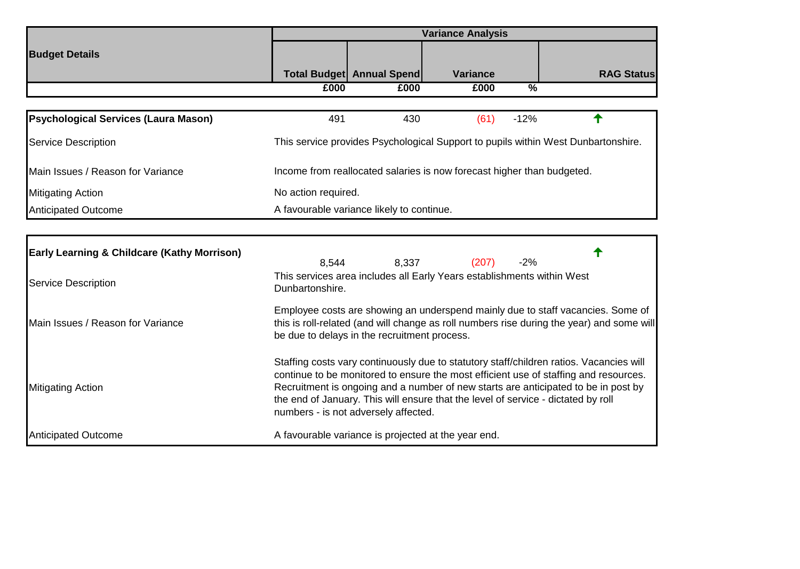|                                                        | <b>Variance Analysis</b>                                                                                                                                                                                                                                                                                                                                                                           |                                           |                                                     |               |                   |  |
|--------------------------------------------------------|----------------------------------------------------------------------------------------------------------------------------------------------------------------------------------------------------------------------------------------------------------------------------------------------------------------------------------------------------------------------------------------------------|-------------------------------------------|-----------------------------------------------------|---------------|-------------------|--|
| <b>Budget Details</b>                                  |                                                                                                                                                                                                                                                                                                                                                                                                    |                                           |                                                     |               |                   |  |
|                                                        |                                                                                                                                                                                                                                                                                                                                                                                                    | <b>Total Budget Annual Spend</b>          | <b>Variance</b>                                     |               | <b>RAG Status</b> |  |
|                                                        | £000                                                                                                                                                                                                                                                                                                                                                                                               | £000                                      | £000                                                | $\frac{0}{2}$ |                   |  |
| <b>Psychological Services (Laura Mason)</b>            | 491                                                                                                                                                                                                                                                                                                                                                                                                | 430                                       | (61)                                                | $-12%$        |                   |  |
| <b>Service Description</b>                             | This service provides Psychological Support to pupils within West Dunbartonshire.                                                                                                                                                                                                                                                                                                                  |                                           |                                                     |               |                   |  |
| Main Issues / Reason for Variance                      | Income from reallocated salaries is now forecast higher than budgeted.                                                                                                                                                                                                                                                                                                                             |                                           |                                                     |               |                   |  |
| <b>Mitigating Action</b>                               | No action required.                                                                                                                                                                                                                                                                                                                                                                                |                                           |                                                     |               |                   |  |
| <b>Anticipated Outcome</b>                             |                                                                                                                                                                                                                                                                                                                                                                                                    | A favourable variance likely to continue. |                                                     |               |                   |  |
|                                                        |                                                                                                                                                                                                                                                                                                                                                                                                    |                                           |                                                     |               |                   |  |
| <b>Early Learning &amp; Childcare (Kathy Morrison)</b> | 8,544                                                                                                                                                                                                                                                                                                                                                                                              | 8,337                                     | (207)                                               | $-2%$         |                   |  |
| <b>Service Description</b>                             | This services area includes all Early Years establishments within West<br>Dunbartonshire.                                                                                                                                                                                                                                                                                                          |                                           |                                                     |               |                   |  |
| Main Issues / Reason for Variance                      | Employee costs are showing an underspend mainly due to staff vacancies. Some of<br>this is roll-related (and will change as roll numbers rise during the year) and some will<br>be due to delays in the recruitment process.                                                                                                                                                                       |                                           |                                                     |               |                   |  |
| <b>Mitigating Action</b>                               | Staffing costs vary continuously due to statutory staff/children ratios. Vacancies will<br>continue to be monitored to ensure the most efficient use of staffing and resources.<br>Recruitment is ongoing and a number of new starts are anticipated to be in post by<br>the end of January. This will ensure that the level of service - dictated by roll<br>numbers - is not adversely affected. |                                           |                                                     |               |                   |  |
| <b>Anticipated Outcome</b>                             |                                                                                                                                                                                                                                                                                                                                                                                                    |                                           | A favourable variance is projected at the year end. |               |                   |  |